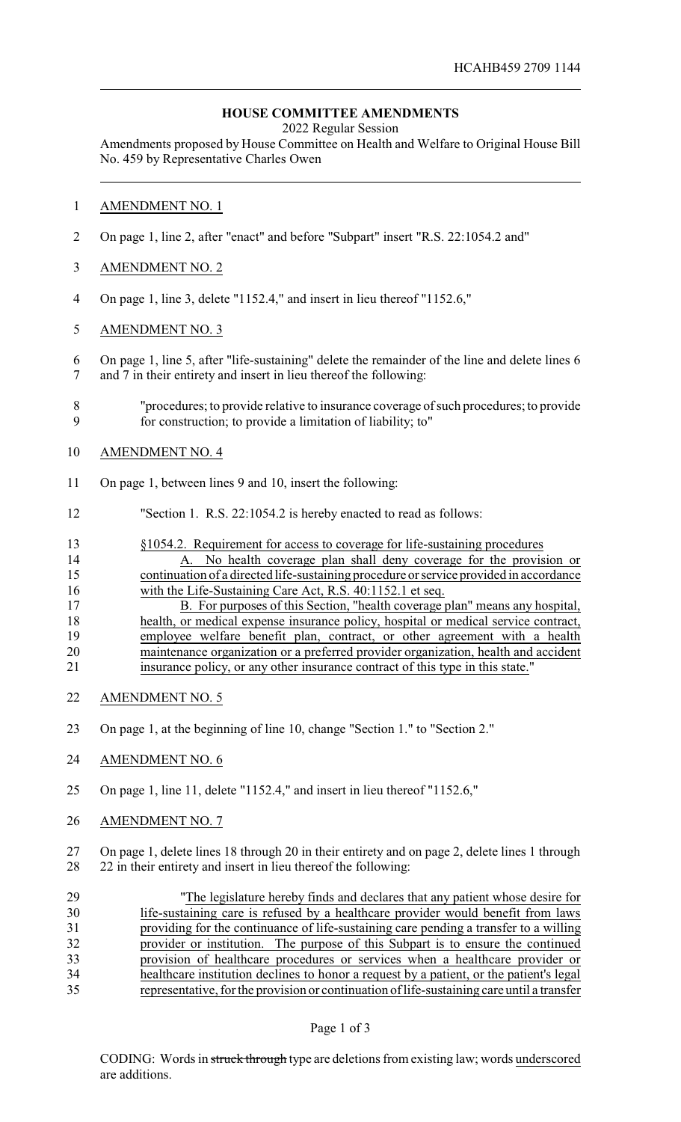## **HOUSE COMMITTEE AMENDMENTS**

2022 Regular Session

Amendments proposed by House Committee on Health and Welfare to Original House Bill No. 459 by Representative Charles Owen

## AMENDMENT NO. 1

- On page 1, line 2, after "enact" and before "Subpart" insert "R.S. 22:1054.2 and"
- AMENDMENT NO. 2
- On page 1, line 3, delete "1152.4," and insert in lieu thereof "1152.6,"
- AMENDMENT NO. 3
- On page 1, line 5, after "life-sustaining" delete the remainder of the line and delete lines 6 and 7 in their entirety and insert in lieu thereof the following:
- "procedures; to provide relative to insurance coverage of such procedures; to provide for construction; to provide a limitation of liability; to"
- AMENDMENT NO. 4
- On page 1, between lines 9 and 10, insert the following:
- "Section 1. R.S. 22:1054.2 is hereby enacted to read as follows:
- §1054.2. Requirement for access to coverage for life-sustaining procedures
- A. No health coverage plan shall deny coverage for the provision or continuation of a directed life-sustaining procedure or service provided in accordance 16 with the Life-Sustaining Care Act, R.S. 40:1152.1 et seq.
- 17 B. For purposes of this Section, "health coverage plan" means any hospital, health, or medical expense insurance policy, hospital or medical service contract, 19 employee welfare benefit plan, contract, or other agreement with a health maintenance organization or a preferred provider organization, health and accident insurance policy, or any other insurance contract of this type in this state."
- AMENDMENT NO. 5
- On page 1, at the beginning of line 10, change "Section 1." to "Section 2."
- AMENDMENT NO. 6
- On page 1, line 11, delete "1152.4," and insert in lieu thereof "1152.6,"
- AMENDMENT NO. 7

 On page 1, delete lines 18 through 20 in their entirety and on page 2, delete lines 1 through 22 in their entirety and insert in lieu thereof the following:

| 29 | "The legislature hereby finds and declares that any patient whose desire for               |
|----|--------------------------------------------------------------------------------------------|
| 30 | life-sustaining care is refused by a healthcare provider would benefit from laws           |
| 31 | providing for the continuance of life-sustaining care pending a transfer to a willing      |
| 32 | provider or institution. The purpose of this Subpart is to ensure the continued            |
| 33 | provision of healthcare procedures or services when a healthcare provider or               |
| 34 | healthcare institution declines to honor a request by a patient, or the patient's legal    |
| 35 | representative, for the provision or continuation of life-sustaining care until a transfer |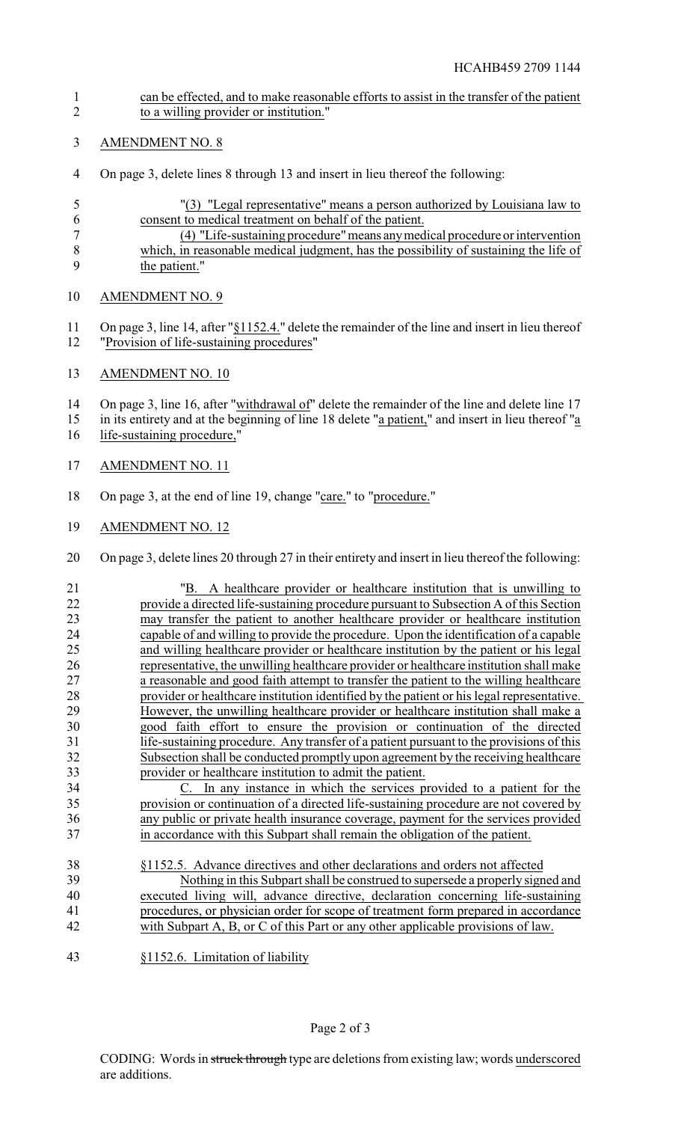- can be effected, and to make reasonable efforts to assist in the transfer of the patient to a willing provider or institution."
- AMENDMENT NO. 8
- On page 3, delete lines 8 through 13 and insert in lieu thereof the following:
- "(3) "Legal representative" means a person authorized by Louisiana law to consent to medical treatment on behalf of the patient.
- (4) "Life-sustaining procedure"means anymedical procedure or intervention which, in reasonable medical judgment, has the possibility of sustaining the life of 9 the patient."
- AMENDMENT NO. 9
- On page 3, line 14, after "§1152.4." delete the remainder of the line and insert in lieu thereof "Provision of life-sustaining procedures"
- AMENDMENT NO. 10

14 On page 3, line 16, after "withdrawal of" delete the remainder of the line and delete line 17

- in its entirety and at the beginning of line 18 delete "a patient," and insert in lieu thereof "a
- 16 life-sustaining procedure,"
- AMENDMENT NO. 11
- On page 3, at the end of line 19, change "care." to "procedure."
- AMENDMENT NO. 12
- On page 3, delete lines 20 through 27 in their entirety and insert in lieu thereof the following:
- "B. A healthcare provider or healthcare institution that is unwilling to 22 provide a directed life-sustaining procedure pursuant to Subsection A of this Section<br>23 may transfer the patient to another healthcare provider or healthcare institution 23 may transfer the patient to another healthcare provider or healthcare institution<br>24 canable of and willing to provide the procedure Upon the identification of a canable 24 capable of and willing to provide the procedure. Upon the identification of a capable<br>25 and willing healthcare provider or healthcare institution by the patient or his legal and willing healthcare provider or healthcare institution by the patient or his legal 26 representative, the unwilling healthcare provider or healthcare institution shall make<br>27 a reasonable and good faith attempt to transfer the patient to the willing healthcare a reasonable and good faith attempt to transfer the patient to the willing healthcare provider or healthcare institution identified by the patient or his legal representative. 29 However, the unwilling healthcare provider or healthcare institution shall make a 30 good faith effort to ensure the provision or continuation of the directed good faith effort to ensure the provision or continuation of the directed life-sustaining procedure. Any transfer of a patient pursuant to the provisions of this Subsection shall be conducted promptly upon agreement by the receiving healthcare provider or healthcare institution to admit the patient. C. In any instance in which the services provided to a patient for the provision or continuation of a directed life-sustaining procedure are not covered by any public or private health insurance coverage, payment for the services provided
- in accordance with this Subpart shall remain the obligation of the patient.
- §1152.5. Advance directives and other declarations and orders not affected Nothing in this Subpart shall be construed to supersede a properly signed and executed living will, advance directive, declaration concerning life-sustaining procedures, or physician order for scope of treatment form prepared in accordance with Subpart A, B, or C of this Part or any other applicable provisions of law.
- §1152.6. Limitation of liability